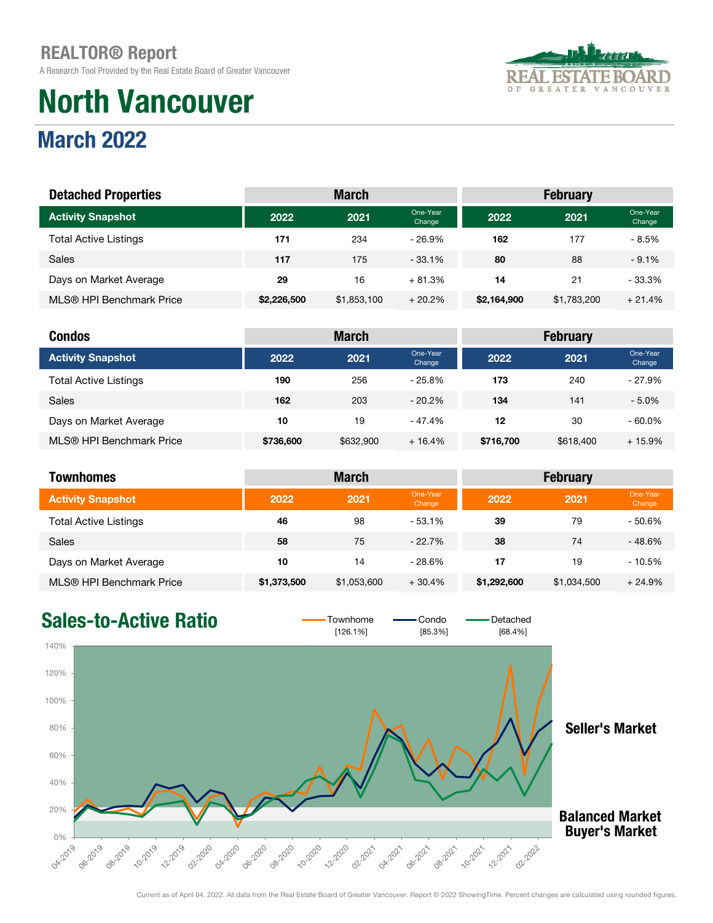March 2022

A Research Tool Provided by the Real Estate Board of Greater Vancouver

# North Vancouver



#### external cone-Year one-Year one-Year one-Year one-Year one-Year one-Year one-Year one-Year one-Year one-Year one-Year one-Year one-Year one-Year one-Year one-Year one-Year one-Year one-Year one-Year one-Year one-Year one-Y Dhe-Year **2022** 2021 <sup>One-Year</sup> Change Change Total Active Listings 171 171 234 - 26.9% 162 177 - 8.5% Sales 117 117 175 - 33.1% 80 88 - 9.1% Days on Market Average 29 29 16 + 81.3% 14 21 - 33.3% MLS® HPI Benchmark Price  $$2,226,500$  \$1,853,100 + 20.2% \$2,164,900 \$1,783,200 + 21.4% Activity Snapshot Detached Properties **March Executive Control Control Control Control Control Control Control Control Control Control Control Control Control Control Control Control Control Control Control Control Control Control Control C**

| <b>Condos</b>                |           | <b>March</b> |                    | <b>February</b> |           |                    |  |
|------------------------------|-----------|--------------|--------------------|-----------------|-----------|--------------------|--|
| <b>Activity Snapshot</b>     | 2022      | 2021         | One-Year<br>Change | 2022            | 2021      | One-Year<br>Change |  |
| <b>Total Active Listings</b> | 190       | 256          | $-25.8\%$          | 173             | 240       | $-27.9%$           |  |
| <b>Sales</b>                 | 162       | 203          | $-20.2%$           | 134             | 141       | $-5.0\%$           |  |
| Days on Market Average       | 10        | 19           | - 47.4%            | 12              | 30        | $-60.0\%$          |  |
| MLS® HPI Benchmark Price     | \$736,600 | \$632,900    | $+16.4%$           | \$716,700       | \$618,400 | $+15.9%$           |  |

| <b>Townhomes</b>             | <b>March</b><br><b>February</b> |             |                    |             |             |                    |
|------------------------------|---------------------------------|-------------|--------------------|-------------|-------------|--------------------|
| <b>Activity Snapshot</b>     | 2022                            | 2021        | One-Year<br>Change | 2022        | 2021        | One-Year<br>Change |
| <b>Total Active Listings</b> | 46                              | 98          | $-53.1%$           | 39          | 79          | $-50.6%$           |
| <b>Sales</b>                 | 58                              | 75          | $-22.7%$           | 38          | 74          | $-48.6%$           |
| Days on Market Average       | 10                              | 14          | $-28.6%$           | 17          | 19          | $-10.5%$           |
| MLS® HPI Benchmark Price     | \$1,373,500                     | \$1,053,600 | $+30.4%$           | \$1,292,600 | \$1,034,500 | $+24.9%$           |

#### Sales-to-Active Ratio  $\overline{\phantom{0}}$   $\overline{\phantom{0}}$   $\overline{\phantom{0}}$   $\overline{\phantom{0}}$   $\overline{\phantom{0}}$   $\overline{\phantom{0}}$   $\overline{\phantom{0}}$   $\overline{\phantom{0}}$   $\overline{\phantom{0}}$   $\overline{\phantom{0}}$   $\overline{\phantom{0}}$   $\overline{\phantom{0}}$   $\overline{\phantom{0}}$   $\overline{\phantom{0}}$   $\overline{\phantom{0}}$   $\overline{\phantom{0}}$   $\overline{\phantom$  $[126.1\%]$ 140% 120% 100% 80% 60% 40% 20% 0% + **06-2020** 10-2019 02:2020 Oh-2020 08-2020 OB-2019 12:2019 10:2020 12:2020 **OA:2021** 06-2021 OZ-2021 OB-2021 10-2021 12:2021 02:2022 06-201C

Seller's Market

Buyer's Market Balanced Market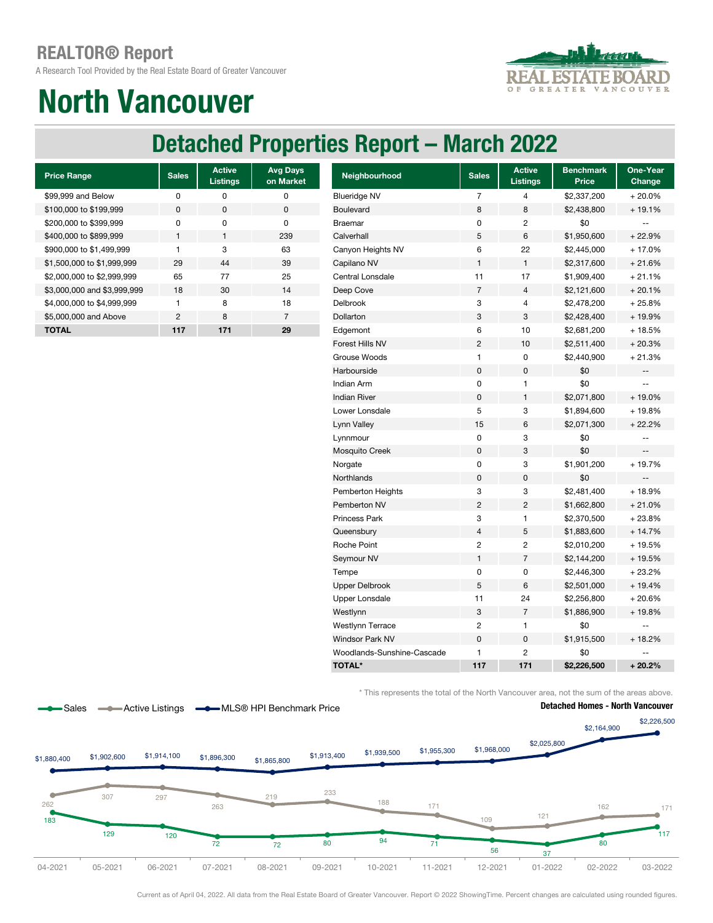A Research Tool Provided by the Real Estate Board of Greater Vancouver



### North Vancouver

### Detached Properties Report – March 2022

| <b>Price Range</b>          | <b>Sales</b> | <b>Active</b><br><b>Listings</b> | <b>Avg Days</b><br>on Market |
|-----------------------------|--------------|----------------------------------|------------------------------|
| \$99,999 and Below          | ŋ            | ŋ                                | O                            |
| \$100,000 to \$199,999      | $\Omega$     | O                                | $\Omega$                     |
| \$200,000 to \$399,999      | O            | ŋ                                | O                            |
| \$400,000 to \$899,999      | 1            | 1                                | 239                          |
| \$900,000 to \$1,499,999    |              | 3                                | 63                           |
| \$1,500,000 to \$1,999,999  | 29           | 44                               | 39                           |
| \$2,000,000 to \$2,999,999  | 65           | 77                               | 25                           |
| \$3,000,000 and \$3,999,999 | 18           | 30                               | 14                           |
| \$4,000,000 to \$4,999,999  |              | 8                                | 18                           |
| \$5,000,000 and Above       | 2            | 8                                | 7                            |
| <b>TOTAL</b>                | 117          | 171                              | 29                           |

| <b>Price Range</b>          | <b>Sales</b>   | <b>Active</b><br><b>Listings</b> | <b>Avg Days</b><br>on Market | Neighbourhood              | <b>Sales</b>   | <b>Active</b><br>Listings | <b>Benchmark</b><br>Price | One-Year<br>Change                            |
|-----------------------------|----------------|----------------------------------|------------------------------|----------------------------|----------------|---------------------------|---------------------------|-----------------------------------------------|
| \$99,999 and Below          | 0              | $\mathbf 0$                      | 0                            | <b>Blueridge NV</b>        | $\overline{7}$ | 4                         | \$2,337,200               | $+20.0%$                                      |
| \$100,000 to \$199,999      | $\pmb{0}$      | $\mathbf 0$                      | $\pmb{0}$                    | <b>Boulevard</b>           | 8              | 8                         | \$2,438,800               | $+19.1%$                                      |
| \$200,000 to \$399,999      | 0              | $\pmb{0}$                        | $\pmb{0}$                    | <b>Braemar</b>             | $\pmb{0}$      | $\overline{c}$            | \$0                       | $\mathord{\hspace{1pt}\text{--}\hspace{1pt}}$ |
| \$400,000 to \$899,999      | $\mathbf{1}$   | $\mathbf{1}$                     | 239                          | Calverhall                 | $\sqrt{5}$     | 6                         | \$1,950,600               | $+22.9%$                                      |
| \$900,000 to \$1,499,999    | $\mathbf{1}$   | 3                                | 63                           | Canyon Heights NV          | 6              | 22                        | \$2,445,000               | $+17.0%$                                      |
| \$1,500,000 to \$1,999,999  | 29             | 44                               | 39                           | Capilano NV                | $\mathbf{1}$   | $\mathbf{1}$              | \$2,317,600               | $+21.6%$                                      |
| \$2,000,000 to \$2,999,999  | 65             | 77                               | 25                           | Central Lonsdale           | 11             | 17                        | \$1,909,400               | $+21.1%$                                      |
| \$3,000,000 and \$3,999,999 | 18             | 30                               | 14                           | Deep Cove                  | $\overline{7}$ | $\overline{4}$            | \$2,121,600               | $+20.1%$                                      |
| \$4,000,000 to \$4,999,999  | $\mathbf{1}$   | 8                                | 18                           | Delbrook                   | 3              | 4                         | \$2,478,200               | $+25.8%$                                      |
| \$5,000,000 and Above       | $\overline{c}$ | 8                                | $\overline{7}$               | Dollarton                  | 3              | 3                         | \$2,428,400               | + 19.9%                                       |
| <b>TOTAL</b>                | 117            | 171                              | 29                           | Edgemont                   | 6              | 10                        | \$2,681,200               | +18.5%                                        |
|                             |                |                                  |                              | Forest Hills NV            | $\overline{2}$ | 10                        | \$2,511,400               | $+20.3%$                                      |
|                             |                |                                  |                              | Grouse Woods               | $\mathbf{1}$   | 0                         | \$2,440,900               | $+21.3%$                                      |
|                             |                |                                  |                              | Harbourside                | $\pmb{0}$      | $\pmb{0}$                 | \$0                       | $\overline{\phantom{a}}$                      |
|                             |                |                                  |                              | Indian Arm                 | 0              | $\mathbf{1}$              | \$0                       | $\overline{\phantom{a}}$                      |
|                             |                |                                  |                              | <b>Indian River</b>        | $\pmb{0}$      | $\mathbf{1}$              | \$2,071,800               | +19.0%                                        |
|                             |                |                                  |                              | Lower Lonsdale             | 5              | 3                         | \$1,894,600               | + 19.8%                                       |
|                             |                |                                  |                              | Lynn Valley                | 15             | 6                         | \$2,071,300               | $+22.2%$                                      |
|                             |                |                                  |                              | Lynnmour                   | $\pmb{0}$      | 3                         | \$0                       | $\overline{\phantom{a}}$                      |
|                             |                |                                  |                              | Mosquito Creek             | $\mathbf 0$    | 3                         | \$0                       | $\overline{\phantom{a}}$                      |
|                             |                |                                  |                              | Norgate                    | $\pmb{0}$      | 3                         | \$1,901,200               | $+19.7%$                                      |
|                             |                |                                  |                              | Northlands                 | $\pmb{0}$      | 0                         | \$0                       | $\overline{\phantom{a}}$                      |
|                             |                |                                  |                              | Pemberton Heights          | 3              | 3                         | \$2,481,400               | +18.9%                                        |
|                             |                |                                  |                              | Pemberton NV               | $\overline{2}$ | 2                         | \$1,662,800               | $+21.0%$                                      |
|                             |                |                                  |                              | Princess Park              | 3              | $\mathbf{1}$              | \$2,370,500               | $+23.8%$                                      |
|                             |                |                                  |                              | Queensbury                 | $\sqrt{4}$     | 5                         | \$1,883,600               | $+14.7%$                                      |
|                             |                |                                  |                              | Roche Point                | $\sqrt{2}$     | $\overline{c}$            | \$2,010,200               | + 19.5%                                       |
|                             |                |                                  |                              | Seymour NV                 | $\mathbf{1}$   | 7                         | \$2,144,200               | + 19.5%                                       |
|                             |                |                                  |                              | Tempe                      | 0              | 0                         | \$2,446,300               | $+23.2%$                                      |
|                             |                |                                  |                              | <b>Upper Delbrook</b>      | 5              | 6                         | \$2,501,000               | $+19.4%$                                      |
|                             |                |                                  |                              | <b>Upper Lonsdale</b>      | 11             | 24                        | \$2,256,800               | $+20.6%$                                      |
|                             |                |                                  |                              | Westlynn                   | 3              | $\overline{7}$            | \$1,886,900               | +19.8%                                        |
|                             |                |                                  |                              | <b>Westlynn Terrace</b>    | $\overline{c}$ | 1                         | \$0                       | $\sim$                                        |
|                             |                |                                  |                              | <b>Windsor Park NV</b>     | $\pmb{0}$      | $\mathsf 0$               | \$1,915,500               | $+18.2%$                                      |
|                             |                |                                  |                              | Woodlands-Sunshine-Cascade | $\mathbf{1}$   | $\sqrt{2}$                | \$0                       | $\sim$                                        |
|                             |                |                                  |                              | <b>TOTAL*</b>              | 117            | 171                       | \$2,226,500               | $+20.2%$                                      |

\* This represents the total of the North Vancouver area, not the sum of the areas above.



Current as of April 04, 2022. All data from the Real Estate Board of Greater Vancouver. Report © 2022 ShowingTime. Percent changes are calculated using rounded figures.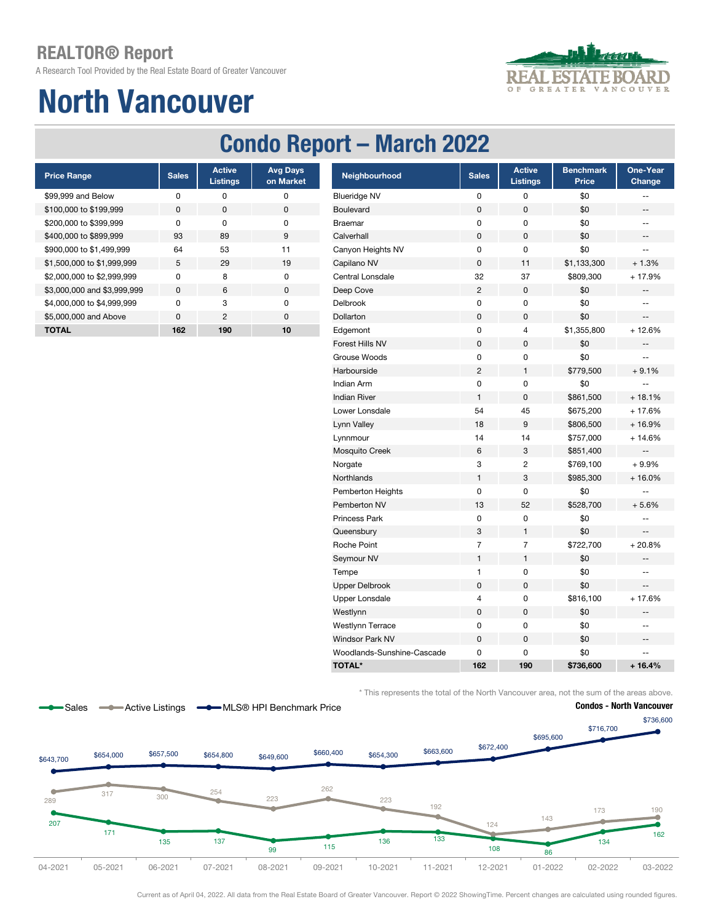A Research Tool Provided by the Real Estate Board of Greater Vancouver

## North Vancouver



| <b>Price Range</b>          | <b>Sales</b> | <b>Active</b><br><b>Listings</b> | <b>Avg Days</b><br>on Market |
|-----------------------------|--------------|----------------------------------|------------------------------|
| \$99,999 and Below          | ŋ            | O                                | ŋ                            |
| \$100,000 to \$199,999      | O            | O                                | $\Omega$                     |
| \$200,000 to \$399,999      | O            | U                                | O                            |
| \$400,000 to \$899,999      | 93           | 89                               | 9                            |
| \$900,000 to \$1,499,999    | 64           | 53                               | 11                           |
| \$1,500,000 to \$1,999,999  | 5            | 29                               | 19                           |
| \$2,000,000 to \$2,999,999  | O            | 8                                | O                            |
| \$3,000,000 and \$3,999,999 | $\Omega$     | 6                                | $\Omega$                     |
| \$4,000,000 to \$4,999,999  | O            | 3                                | U                            |
| \$5,000,000 and Above       | $\Omega$     | 2                                | $\Omega$                     |
| TOTAL                       | 162          | 190                              | 10                           |

| <b>Price Range</b>          | <b>Sales</b> | <b>Active</b><br><b>Listings</b> | <b>Avg Days</b><br>on Market | Neighbourhood              | <b>Sales</b>   | <b>Active</b><br><b>Listings</b> | <b>Benchmark</b><br>Price | One-Year<br>Change       |
|-----------------------------|--------------|----------------------------------|------------------------------|----------------------------|----------------|----------------------------------|---------------------------|--------------------------|
| \$99,999 and Below          | $\pmb{0}$    | $\mathbf 0$                      | 0                            | <b>Blueridge NV</b>        | 0              | $\pmb{0}$                        | \$0                       | $\overline{a}$           |
| \$100,000 to \$199,999      | $\mathsf 0$  | $\pmb{0}$                        | $\pmb{0}$                    | Boulevard                  | $\mathsf 0$    | $\pmb{0}$                        | \$0                       | $- -$                    |
| \$200,000 to \$399,999      | $\pmb{0}$    | $\pmb{0}$                        | $\pmb{0}$                    | <b>Braemar</b>             | $\pmb{0}$      | $\pmb{0}$                        | \$0                       | $\overline{\phantom{m}}$ |
| \$400,000 to \$899,999      | 93           | 89                               | 9                            | Calverhall                 | $\mathbf 0$    | 0                                | \$0                       | --                       |
| \$900,000 to \$1,499,999    | 64           | 53                               | 11                           | Canyon Heights NV          | $\pmb{0}$      | $\mathsf 0$                      | \$0                       | $\overline{a}$           |
| \$1,500,000 to \$1,999,999  | 5            | 29                               | 19                           | Capilano NV                | $\pmb{0}$      | 11                               | \$1,133,300               | $+1.3%$                  |
| \$2,000,000 to \$2,999,999  | $\pmb{0}$    | 8                                | 0                            | Central Lonsdale           | 32             | 37                               | \$809,300                 | $+17.9%$                 |
| \$3,000,000 and \$3,999,999 | $\mathbf 0$  | 6                                | $\mathbf 0$                  | Deep Cove                  | $\overline{c}$ | 0                                | \$0                       |                          |
| \$4,000,000 to \$4,999,999  | $\pmb{0}$    | 3                                | 0                            | Delbrook                   | $\pmb{0}$      | 0                                | \$0                       | $\overline{\phantom{m}}$ |
| \$5,000,000 and Above       | $\mathbf 0$  | $\overline{2}$                   | $\mathbf 0$                  | Dollarton                  | 0              | 0                                | \$0                       | $\qquad \qquad -$        |
| <b>TOTAL</b>                | 162          | 190                              | 10                           | Edgemont                   | $\pmb{0}$      | $\overline{4}$                   | \$1,355,800               | $+12.6%$                 |
|                             |              |                                  |                              | Forest Hills NV            | $\pmb{0}$      | $\mathsf 0$                      | \$0                       |                          |
|                             |              |                                  |                              | Grouse Woods               | 0              | 0                                | \$0                       | $-$                      |
|                             |              |                                  |                              | Harbourside                | $\overline{c}$ | $\mathbf{1}$                     | \$779,500                 | $+9.1%$                  |
|                             |              |                                  |                              | Indian Arm                 | $\pmb{0}$      | $\pmb{0}$                        | \$0                       | $-$                      |
|                             |              |                                  |                              | <b>Indian River</b>        | $\mathbf{1}$   | $\mathbf 0$                      | \$861,500                 | $+18.1%$                 |
|                             |              |                                  |                              | Lower Lonsdale             | 54             | 45                               | \$675,200                 | + 17.6%                  |
|                             |              |                                  |                              | Lynn Valley                | 18             | 9                                | \$806,500                 | +16.9%                   |
|                             |              |                                  |                              | Lynnmour                   | 14             | 14                               | \$757,000                 | $+14.6%$                 |
|                             |              |                                  |                              | Mosquito Creek             | 6              | 3                                | \$851,400                 | $\qquad \qquad -$        |
|                             |              |                                  |                              | Norgate                    | 3              | $\sqrt{2}$                       | \$769,100                 | $+9.9%$                  |
|                             |              |                                  |                              | Northlands                 | $\mathbf{1}$   | 3                                | \$985,300                 | $+16.0%$                 |
|                             |              |                                  |                              | Pemberton Heights          | $\pmb{0}$      | 0                                | \$0                       | $-$                      |
|                             |              |                                  |                              | Pemberton NV               | 13             | 52                               | \$528,700                 | $+5.6%$                  |
|                             |              |                                  |                              | Princess Park              | $\mathsf 0$    | $\pmb{0}$                        | \$0                       | ÷-                       |
|                             |              |                                  |                              | Queensbury                 | 3              | $\mathbf{1}$                     | \$0                       | $\overline{\phantom{m}}$ |
|                             |              |                                  |                              | Roche Point                | $\overline{7}$ | $\overline{7}$                   | \$722,700                 | $+20.8%$                 |
|                             |              |                                  |                              | Seymour NV                 | $\mathbf{1}$   | $\mathbf{1}$                     | \$0                       | --                       |
|                             |              |                                  |                              | Tempe                      | 1              | 0                                | \$0                       | $\overline{a}$           |
|                             |              |                                  |                              | <b>Upper Delbrook</b>      | $\pmb{0}$      | $\mathsf 0$                      | \$0                       | --                       |
|                             |              |                                  |                              | <b>Upper Lonsdale</b>      | $\overline{4}$ | 0                                | \$816,100                 | $+17.6%$                 |
|                             |              |                                  |                              | Westlynn                   | $\pmb{0}$      | $\mathsf 0$                      | \$0                       | $-$                      |
|                             |              |                                  |                              | Westlynn Terrace           | 0              | 0                                | \$0                       | $-$                      |
|                             |              |                                  |                              | <b>Windsor Park NV</b>     | $\pmb{0}$      | $\mathsf 0$                      | \$0                       | --                       |
|                             |              |                                  |                              | Woodlands-Sunshine-Cascade | 0              | 0                                | \$0                       | $-$                      |
|                             |              |                                  |                              | <b>TOTAL*</b>              | 162            | 190                              | \$736,600                 | $+16.4%$                 |

\* This represents the total of the North Vancouver area, not the sum of the areas above.





Current as of April 04, 2022. All data from the Real Estate Board of Greater Vancouver. Report © 2022 ShowingTime. Percent changes are calculated using rounded figures.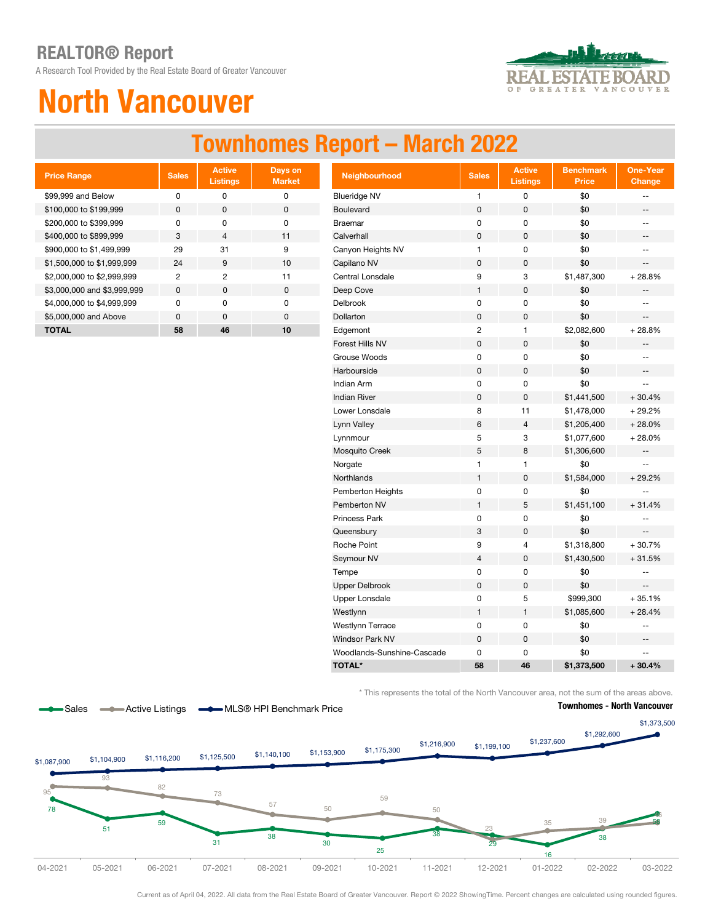A Research Tool Provided by the Real Estate Board of Greater Vancouver



## North Vancouver

### Townhomes Report – March 2022

| <b>Price Range</b>          | <b>Sales</b> | <b>Active</b><br><b>Listings</b> | Days on<br><b>Market</b> |
|-----------------------------|--------------|----------------------------------|--------------------------|
| \$99,999 and Below          | ŋ            | ŋ                                | O                        |
| \$100,000 to \$199,999      | $\Omega$     | $\Omega$                         | $\Omega$                 |
| \$200,000 to \$399,999      | n            | O                                | O                        |
| \$400,000 to \$899,999      | 3            | $\overline{\mathcal{L}}$         | 11                       |
| \$900,000 to \$1,499,999    | 29           | 31                               | 9                        |
| \$1,500,000 to \$1,999,999  | 24           | 9                                | 10                       |
| \$2,000,000 to \$2,999,999  | 2            | 2                                | 11                       |
| \$3,000,000 and \$3,999,999 | $\Omega$     | O                                | 0                        |
| \$4,000,000 to \$4,999,999  | U            | <sup>n</sup>                     | O                        |
| \$5,000,000 and Above       | $\Omega$     | $\Omega$                         | $\Omega$                 |
| <b>TOTAL</b>                | 58           | 46                               | 10                       |

| <b>Price Range</b>          | <b>Sales</b>   | <b>Active</b><br><b>Listings</b> | Days on<br><b>Market</b> | Neighbourhood              | <b>Sales</b>   | <b>Active</b><br><b>Listings</b> | <b>Benchmark</b><br><b>Price</b> | <b>One-Year</b><br>Change |
|-----------------------------|----------------|----------------------------------|--------------------------|----------------------------|----------------|----------------------------------|----------------------------------|---------------------------|
| \$99,999 and Below          | $\pmb{0}$      | 0                                | $\pmb{0}$                | <b>Blueridge NV</b>        | $\mathbf{1}$   | 0                                | \$0                              | $-$                       |
| \$100,000 to \$199,999      | $\mathbf 0$    | $\pmb{0}$                        | $\pmb{0}$                | Boulevard                  | 0              | 0                                | \$0                              | --                        |
| \$200,000 to \$399,999      | 0              | 0                                | $\pmb{0}$                | <b>Braemar</b>             | 0              | 0                                | \$0                              | $-$                       |
| \$400,000 to \$899,999      | 3              | $\overline{4}$                   | 11                       | Calverhall                 | 0              | 0                                | \$0                              | --                        |
| \$900,000 to \$1,499,999    | 29             | 31                               | 9                        | Canyon Heights NV          | 1              | 0                                | \$0                              | --                        |
| \$1,500,000 to \$1,999,999  | 24             | 9                                | 10                       | Capilano NV                | 0              | 0                                | \$0                              | $\qquad \qquad -$         |
| \$2,000,000 to \$2,999,999  | $\overline{c}$ | $\overline{c}$                   | 11                       | Central Lonsdale           | 9              | 3                                | \$1,487,300                      | $+28.8%$                  |
| \$3,000,000 and \$3,999,999 | $\pmb{0}$      | $\pmb{0}$                        | $\pmb{0}$                | Deep Cove                  | $\mathbf{1}$   | 0                                | \$0                              | $-$                       |
| \$4,000,000 to \$4,999,999  | 0              | $\pmb{0}$                        | $\pmb{0}$                | Delbrook                   | 0              | 0                                | \$0                              | $-1$                      |
| \$5,000,000 and Above       | $\pmb{0}$      | $\pmb{0}$                        | $\mathsf 0$              | Dollarton                  | 0              | 0                                | \$0                              | --                        |
| <b>TOTAL</b>                | 58             | 46                               | 10                       | Edgemont                   | $\overline{c}$ | 1                                | \$2,082,600                      | $+28.8%$                  |
|                             |                |                                  |                          | Forest Hills NV            | 0              | 0                                | \$0                              |                           |
|                             |                |                                  |                          | Grouse Woods               | 0              | 0                                | \$0                              | --                        |
|                             |                |                                  |                          | Harbourside                | 0              | 0                                | \$0                              | --                        |
|                             |                |                                  |                          | <b>Indian Arm</b>          | 0              | 0                                | \$0                              | Ξ.                        |
|                             |                |                                  |                          | <b>Indian River</b>        | 0              | $\mathsf 0$                      | \$1,441,500                      | $+30.4%$                  |
|                             |                |                                  |                          | Lower Lonsdale             | 8              | 11                               | \$1,478,000                      | $+29.2%$                  |
|                             |                |                                  |                          | Lynn Valley                | 6              | $\overline{4}$                   | \$1,205,400                      | $+28.0%$                  |
|                             |                |                                  |                          | Lynnmour                   | 5              | 3                                | \$1,077,600                      | $+28.0%$                  |
|                             |                |                                  |                          | Mosquito Creek             | 5              | 8                                | \$1,306,600                      | --                        |
|                             |                |                                  |                          | Norgate                    | $\mathbf{1}$   | 1                                | \$0                              | $\overline{\phantom{a}}$  |
|                             |                |                                  |                          | Northlands                 | $\mathbf{1}$   | 0                                | \$1,584,000                      | $+29.2%$                  |
|                             |                |                                  |                          | Pemberton Heights          | 0              | 0                                | \$0                              | $-$                       |
|                             |                |                                  |                          | Pemberton NV               | $\mathbf{1}$   | 5                                | \$1,451,100                      | $+31.4%$                  |
|                             |                |                                  |                          | Princess Park              | 0              | 0                                | \$0                              | $\overline{\phantom{a}}$  |
|                             |                |                                  |                          | Queensbury                 | 3              | 0                                | \$0                              |                           |
|                             |                |                                  |                          | Roche Point                | 9              | 4                                | \$1,318,800                      | $+30.7%$                  |
|                             |                |                                  |                          | Seymour NV                 | $\overline{4}$ | 0                                | \$1,430,500                      | $+31.5%$                  |
|                             |                |                                  |                          | Tempe                      | 0              | 0                                | \$0                              | --                        |
|                             |                |                                  |                          | <b>Upper Delbrook</b>      | 0              | 0                                | \$0                              | --                        |
|                             |                |                                  |                          | <b>Upper Lonsdale</b>      | 0              | 5                                | \$999,300                        | $+35.1%$                  |
|                             |                |                                  |                          | Westlynn                   | $\mathbf{1}$   | 1                                | \$1,085,600                      | $+28.4%$                  |
|                             |                |                                  |                          | <b>Westlynn Terrace</b>    | 0              | 0                                | \$0                              | --                        |
|                             |                |                                  |                          | <b>Windsor Park NV</b>     | 0              | 0                                | \$0                              | --                        |
|                             |                |                                  |                          | Woodlands-Sunshine-Cascade | 0              | 0                                | \$0                              | $-1$                      |
|                             |                |                                  |                          | <b>TOTAL*</b>              | 58             | 46                               | \$1,373,500                      | $+30.4%$                  |

\* This represents the total of the North Vancouver area, not the sum of the areas above.



Current as of April 04, 2022. All data from the Real Estate Board of Greater Vancouver. Report © 2022 ShowingTime. Percent changes are calculated using rounded figures.